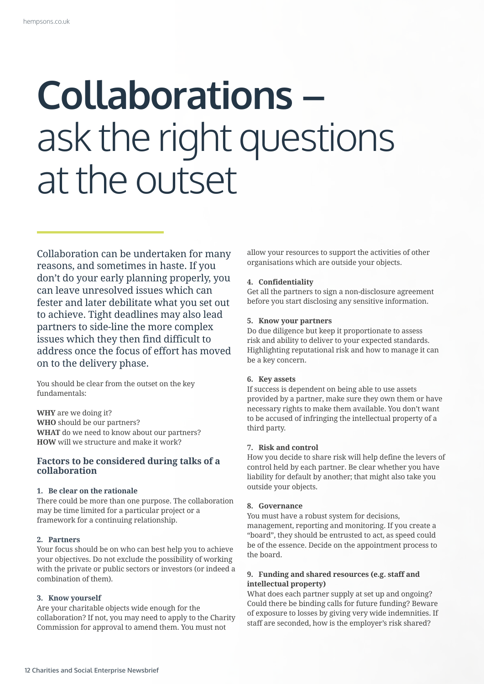# **Collaborations –**  ask the right questions at the outset

Collaboration can be undertaken for many reasons, and sometimes in haste. If you don't do your early planning properly, you can leave unresolved issues which can fester and later debilitate what you set out to achieve. Tight deadlines may also lead partners to side-line the more complex issues which they then find difficult to address once the focus of effort has moved on to the delivery phase.

You should be clear from the outset on the key fundamentals:

**WHY** are we doing it? **WHO** should be our partners? **WHAT** do we need to know about our partners? **HOW** will we structure and make it work?

# **Factors to be considered during talks of a collaboration**

## **1. Be clear on the rationale**

There could be more than one purpose. The collaboration may be time limited for a particular project or a framework for a continuing relationship.

#### **2. Partners**

Your focus should be on who can best help you to achieve your objectives. Do not exclude the possibility of working with the private or public sectors or investors (or indeed a combination of them).

## **3. Know yourself**

Are your charitable objects wide enough for the collaboration? If not, you may need to apply to the Charity Commission for approval to amend them. You must not

allow your resources to support the activities of other organisations which are outside your objects.

## **4. Confidentiality**

Get all the partners to sign a non-disclosure agreement before you start disclosing any sensitive information.

#### **5. Know your partners**

Do due diligence but keep it proportionate to assess risk and ability to deliver to your expected standards. Highlighting reputational risk and how to manage it can be a key concern.

#### **6. Key assets**

If success is dependent on being able to use assets provided by a partner, make sure they own them or have necessary rights to make them available. You don't want to be accused of infringing the intellectual property of a third party.

#### **7. Risk and control**

How you decide to share risk will help define the levers of control held by each partner. Be clear whether you have liability for default by another; that might also take you outside your objects.

## **8. Governance**

You must have a robust system for decisions, management, reporting and monitoring. If you create a "board", they should be entrusted to act, as speed could be of the essence. Decide on the appointment process to the board.

# **9. Funding and shared resources (e.g. staff and intellectual property)**

What does each partner supply at set up and ongoing? Could there be binding calls for future funding? Beware of exposure to losses by giving very wide indemnities. If staff are seconded, how is the employer's risk shared?